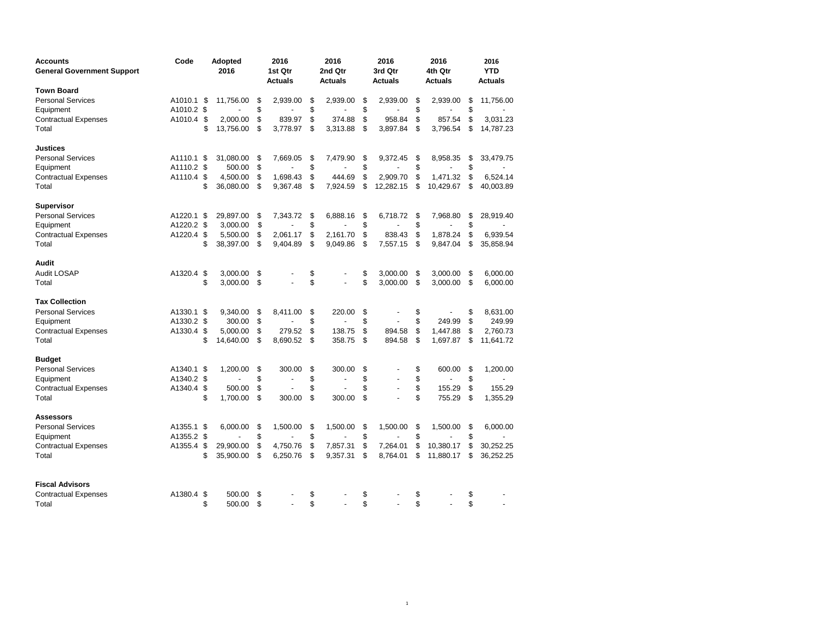| <b>Accounts</b><br><b>General Government Support</b> | Code       |      | Adopted<br>2016 |    | 2016<br>1st Qtr<br><b>Actuals</b> |    | 2016<br>2nd Qtr<br><b>Actuals</b> | 2016<br>3rd Qtr<br><b>Actuals</b> |           |    | 2016<br>4th Qtr<br><b>Actuals</b> | 2016<br><b>YTD</b><br><b>Actuals</b> |  |
|------------------------------------------------------|------------|------|-----------------|----|-----------------------------------|----|-----------------------------------|-----------------------------------|-----------|----|-----------------------------------|--------------------------------------|--|
| Town Board                                           |            |      |                 |    |                                   |    |                                   |                                   |           |    |                                   |                                      |  |
| <b>Personal Services</b>                             | A1010.1    | - \$ | 11,756.00       | \$ | 2.939.00                          | \$ | 2.939.00                          | \$                                | 2.939.00  | \$ | 2.939.00                          | \$<br>11,756.00                      |  |
| Equipment                                            | A1010.2 \$ |      |                 | \$ |                                   | \$ |                                   | \$                                |           | \$ |                                   | \$                                   |  |
| <b>Contractual Expenses</b>                          | A1010.4 \$ |      | 2,000.00        | \$ | 839.97                            | \$ | 374.88                            | \$                                | 958.84    | \$ | 857.54                            | \$<br>3,031.23                       |  |
| Total                                                |            | \$   | 13,756.00       | \$ | 3,778.97                          | \$ | 3,313.88                          | \$                                | 3,897.84  | \$ | 3,796.54                          | \$<br>14,787.23                      |  |
| Justices                                             |            |      |                 |    |                                   |    |                                   |                                   |           |    |                                   |                                      |  |
| <b>Personal Services</b>                             | A1110.1 \$ |      | 31,080.00       | \$ | 7,669.05                          | \$ | 7,479.90                          | \$                                | 9,372.45  | \$ | 8,958.35                          | \$<br>33,479.75                      |  |
| Equipment                                            | A1110.2 \$ |      | 500.00          | \$ |                                   | \$ |                                   | \$                                |           | \$ |                                   | \$                                   |  |
| <b>Contractual Expenses</b>                          | A1110.4 \$ |      | 4,500.00        | \$ | 1,698.43                          | \$ | 444.69                            | \$                                | 2.909.70  | \$ | 1,471.32                          | \$<br>6,524.14                       |  |
| Total                                                |            | \$   | 36,080.00       | \$ | 9,367.48                          | \$ | 7,924.59                          | \$                                | 12,282.15 | \$ | 10,429.67                         | \$<br>40,003.89                      |  |
| <b>Supervisor</b>                                    |            |      |                 |    |                                   |    |                                   |                                   |           |    |                                   |                                      |  |
| <b>Personal Services</b>                             | A1220.1    | -\$  | 29,897.00       | \$ | 7,343.72                          | \$ | 6,888.16                          | \$                                | 6,718.72  | \$ | 7,968.80                          | \$<br>28,919.40                      |  |
| Equipment                                            | A1220.2 \$ |      | 3,000.00        | \$ |                                   | \$ |                                   | \$                                |           | \$ |                                   | \$                                   |  |
| <b>Contractual Expenses</b>                          | A1220.4 \$ |      | 5,500.00        | \$ | 2,061.17                          | \$ | 2,161.70                          | \$                                | 838.43    | \$ | 1,878.24                          | \$<br>6,939.54                       |  |
| Total                                                |            | \$   | 38,397.00       | \$ | 9,404.89                          | \$ | 9,049.86                          | \$                                | 7,557.15  | \$ | 9,847.04                          | \$<br>35,858.94                      |  |
| Audit                                                |            |      |                 |    |                                   |    |                                   |                                   |           |    |                                   |                                      |  |
| Audit LOSAP                                          | A1320.4 \$ |      | 3,000.00        | \$ |                                   | \$ |                                   | \$                                | 3,000.00  | \$ | 3,000.00                          | \$<br>6,000.00                       |  |
| Total                                                |            | \$   | 3,000.00        | \$ |                                   | \$ |                                   | \$                                | 3.000.00  | \$ | 3,000.00                          | \$<br>6,000.00                       |  |
| <b>Tax Collection</b>                                |            |      |                 |    |                                   |    |                                   |                                   |           |    |                                   |                                      |  |
| <b>Personal Services</b>                             | A1330.1 \$ |      | 9,340.00        | \$ | 8,411.00                          | \$ | 220.00                            | \$                                |           | \$ |                                   | \$<br>8,631.00                       |  |
| Equipment                                            | A1330.2 \$ |      | 300.00          | \$ |                                   | \$ |                                   | \$                                |           | \$ | 249.99                            | \$<br>249.99                         |  |
| <b>Contractual Expenses</b>                          | A1330.4 \$ |      | 5,000.00        | \$ | 279.52                            | \$ | 138.75                            | \$                                | 894.58    | \$ | 1,447.88                          | \$<br>2,760.73                       |  |
| Total                                                |            | \$   | 14,640.00       | \$ | 8,690.52                          | \$ | 358.75                            | \$                                | 894.58    | \$ | 1,697.87                          | \$<br>11,641.72                      |  |
| Budget                                               |            |      |                 |    |                                   |    |                                   |                                   |           |    |                                   |                                      |  |
| <b>Personal Services</b>                             | A1340.1    | \$   | 1.200.00        | \$ | 300.00                            | \$ | 300.00                            | \$                                |           | \$ | 600.00                            | \$<br>1,200.00                       |  |
| Equipment                                            | A1340.2 \$ |      |                 | \$ |                                   | \$ |                                   | \$                                |           | \$ |                                   | \$                                   |  |
| Contractual Expenses                                 | A1340.4 \$ |      | 500.00          | \$ |                                   | \$ |                                   | \$                                |           | \$ | 155.29                            | \$<br>155.29                         |  |
| Total                                                |            | \$   | 1,700.00        | \$ | 300.00                            | \$ | 300.00                            | \$                                |           | \$ | 755.29                            | \$<br>1,355.29                       |  |
| Assessors                                            |            |      |                 |    |                                   |    |                                   |                                   |           |    |                                   |                                      |  |
| Personal Services                                    | A1355.1 \$ |      | 6.000.00        | \$ | 1,500.00                          | \$ | 1,500.00                          | \$                                | 1,500.00  | \$ | 1,500.00                          | \$<br>6,000.00                       |  |
| Equipment                                            | A1355.2 \$ |      |                 | \$ |                                   | \$ |                                   | \$                                |           | \$ |                                   | \$                                   |  |
| <b>Contractual Expenses</b>                          | A1355.4    | -\$  | 29,900.00       | \$ | 4,750.76                          | \$ | 7,857.31                          | \$                                | 7,264.01  | \$ | 10,380.17                         | \$<br>30,252.25                      |  |
| Total                                                |            | \$   | 35,900.00       | \$ | 6,250.76                          | \$ | 9,357.31                          | \$                                | 8,764.01  | \$ | 11,880.17                         | \$<br>36,252.25                      |  |
| <b>Fiscal Advisors</b>                               |            |      |                 |    |                                   |    |                                   |                                   |           |    |                                   |                                      |  |
| <b>Contractual Expenses</b>                          | A1380.4    | \$   | 500.00          | \$ |                                   | \$ |                                   | \$                                |           | \$ |                                   | \$                                   |  |
| Total                                                |            | \$   | 500.00          | \$ |                                   | \$ |                                   | \$                                |           | \$ |                                   | \$                                   |  |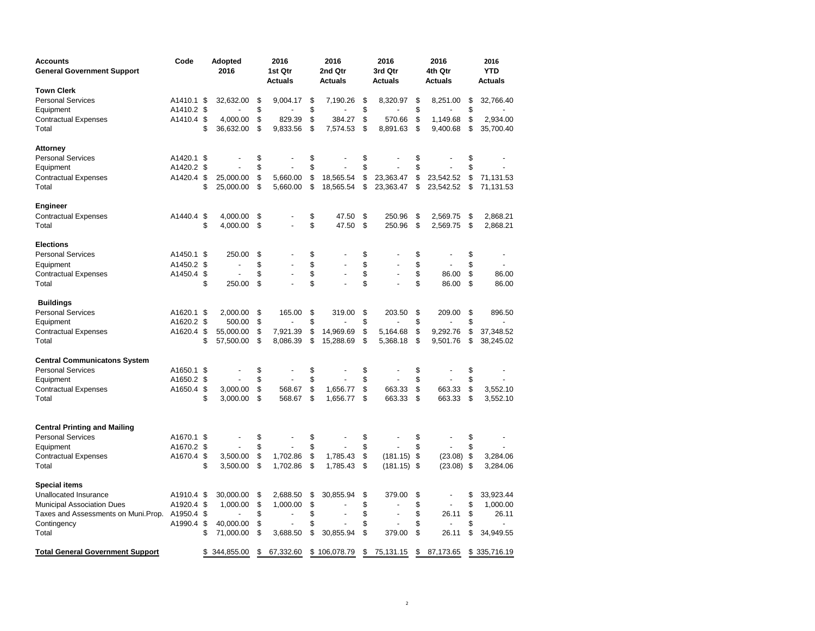| Accounts<br><b>General Government Support</b> | Code       |     | <b>Adopted</b><br>2016   | 2016<br>1st Qtr<br><b>Actuals</b> | 2016<br>2nd Qtr<br><b>Actuals</b> | 2016<br>3rd Qtr<br><b>Actuals</b> | 2016<br>4th Qtr<br><b>Actuals</b> |     | 2016<br><b>YTD</b><br><b>Actuals</b> |
|-----------------------------------------------|------------|-----|--------------------------|-----------------------------------|-----------------------------------|-----------------------------------|-----------------------------------|-----|--------------------------------------|
| <b>Town Clerk</b>                             |            |     |                          |                                   |                                   |                                   |                                   |     |                                      |
| <b>Personal Services</b>                      | A1410.1    | \$  | 32,632.00                | \$<br>9,004.17                    | \$<br>7,190.26                    | \$<br>8,320.97                    | \$<br>8,251.00                    | \$  | 32,766.40                            |
| Equipment                                     | A1410.2 \$ |     |                          | \$                                | \$                                | \$                                | \$                                | \$  |                                      |
| Contractual Expenses                          | A1410.4 \$ |     | 4,000.00                 | \$<br>829.39                      | \$<br>384.27                      | \$<br>570.66                      | \$<br>1,149.68                    | \$  | 2,934.00                             |
| Total                                         |            | \$  | 36,632.00                | \$<br>9,833.56                    | \$<br>7,574.53                    | \$<br>8,891.63                    | \$<br>9,400.68                    | \$  | 35,700.40                            |
| Attorney                                      |            |     |                          |                                   |                                   |                                   |                                   |     |                                      |
| <b>Personal Services</b>                      | A1420.1 \$ |     |                          | \$                                | \$                                | \$                                | \$                                | \$  |                                      |
| Equipment                                     | A1420.2 \$ |     |                          | \$                                | \$                                | \$                                | \$                                | \$  |                                      |
| <b>Contractual Expenses</b>                   | A1420.4 \$ |     | 25,000.00                | \$<br>5,660.00                    | \$<br>18,565.54                   | \$<br>23,363.47                   | \$<br>23,542.52                   | \$  | 71,131.53                            |
| Total                                         |            | \$  | 25,000.00                | \$<br>5,660.00                    | \$<br>18,565.54                   | \$<br>23,363.47                   | \$<br>23,542.52                   | \$  | 71,131.53                            |
| Engineer                                      |            |     |                          |                                   |                                   |                                   |                                   |     |                                      |
| <b>Contractual Expenses</b>                   | A1440.4 \$ |     | 4,000.00                 | \$                                | \$<br>47.50                       | \$<br>250.96                      | \$<br>2,569.75                    | \$  | 2,868.21                             |
| Total                                         |            | \$  | 4,000.00                 | \$                                | \$<br>47.50                       | \$<br>250.96                      | \$<br>2,569.75                    | \$  | 2,868.21                             |
| <b>Elections</b>                              |            |     |                          |                                   |                                   |                                   |                                   |     |                                      |
| <b>Personal Services</b>                      | A1450.1 \$ |     | 250.00                   | \$                                | \$                                | \$                                | \$                                | \$  |                                      |
| Equipment                                     | A1450.2 \$ |     | $\overline{\phantom{a}}$ | \$                                | \$                                | \$                                | \$                                | \$  |                                      |
| Contractual Expenses                          | A1450.4 \$ |     |                          | \$<br>$\overline{a}$              | \$<br>$\overline{a}$              | \$<br>$\overline{\phantom{a}}$    | \$<br>86.00                       | \$  | 86.00                                |
| Total                                         |            | \$  | 250.00                   | \$                                | \$                                | \$                                | \$<br>86.00                       | \$  | 86.00                                |
| <b>Buildings</b>                              |            |     |                          |                                   |                                   |                                   |                                   |     |                                      |
| <b>Personal Services</b>                      | A1620.1 \$ |     | 2,000.00                 | \$<br>165.00                      | \$<br>319.00                      | \$<br>203.50                      | \$<br>209.00                      | \$  | 896.50                               |
| Equipment                                     | A1620.2 \$ |     | 500.00                   | \$                                | \$                                | \$                                | \$                                | \$  |                                      |
| Contractual Expenses                          | A1620.4 \$ |     | 55,000.00                | \$<br>7,921.39                    | \$<br>14,969.69                   | \$<br>5,164.68                    | \$<br>9,292.76                    | \$  | 37,348.52                            |
| Total                                         |            | \$  | 57,500.00                | \$<br>8,086.39                    | \$<br>15,288.69                   | \$<br>5,368.18                    | \$<br>9,501.76                    | \$  | 38,245.02                            |
| <b>Central Communicatons System</b>           |            |     |                          |                                   |                                   |                                   |                                   |     |                                      |
| <b>Personal Services</b>                      | A1650.1    | \$  |                          | \$                                | \$                                | \$                                | \$                                | \$  |                                      |
| Equipment                                     | A1650.2 \$ |     |                          | \$                                | \$                                | \$                                | \$                                | \$  |                                      |
| Contractual Expenses                          | A1650.4 \$ |     | 3,000.00                 | \$<br>568.67                      | \$<br>1,656.77                    | \$<br>663.33                      | \$<br>663.33                      | \$  | 3,552.10                             |
| Total                                         |            | \$  | 3,000.00                 | \$<br>568.67                      | \$<br>1,656.77                    | \$<br>663.33                      | \$<br>663.33                      | \$  | 3,552.10                             |
|                                               |            |     |                          |                                   |                                   |                                   |                                   |     |                                      |
| <b>Central Printing and Mailing</b>           |            |     |                          |                                   |                                   |                                   |                                   |     |                                      |
| <b>Personal Services</b>                      | A1670.1    | -\$ |                          | \$                                | \$                                | \$                                | \$                                | \$  |                                      |
| Equipment                                     | A1670.2 \$ |     |                          | \$                                | \$                                | \$                                | \$                                | \$  |                                      |
| Contractual Expenses                          | A1670.4 \$ |     | 3,500.00                 | \$<br>1,702.86                    | \$<br>1,785.43                    | \$<br>(181.15)                    | \$<br>$(23.08)$ \$                |     | 3,284.06                             |
| Total                                         |            | \$  | 3,500.00                 | \$<br>1,702.86                    | \$<br>1,785.43                    | \$<br>$(181.15)$ \$               | (23.08)                           | -\$ | 3,284.06                             |
| Special items                                 |            |     |                          |                                   |                                   |                                   |                                   |     |                                      |
| Unallocated Insurance                         | A1910.4 \$ |     | 30,000.00                | \$<br>2,688.50                    | \$<br>30,855.94                   | \$<br>379.00                      | \$                                | \$  | 33,923.44                            |
| <b>Municipal Association Dues</b>             | A1920.4 \$ |     | 1,000.00                 | \$<br>1,000.00                    | \$                                | \$                                | \$                                | \$  | 1,000.00                             |
| Taxes and Assessments on Muni. Prop.          | A1950.4 \$ |     |                          | \$                                | \$                                | \$                                | \$<br>26.11                       | \$  | 26.11                                |
| Contingency                                   | A1990.4 \$ |     | 40,000.00                | \$                                | \$                                | \$                                | \$                                | \$  |                                      |
| Total                                         |            | \$  | 71,000.00                | \$<br>3,688.50                    | \$<br>30,855.94                   | \$<br>379.00                      | \$<br>26.11                       | \$  | 34,949.55                            |
| <b>Total General Government Support</b>       |            | \$  | 344,855.00               | \$<br>67,332.60                   | \$106,078.79                      | \$<br>75,131.15                   | \$<br>87,173.65                   | \$  | 335,716.19                           |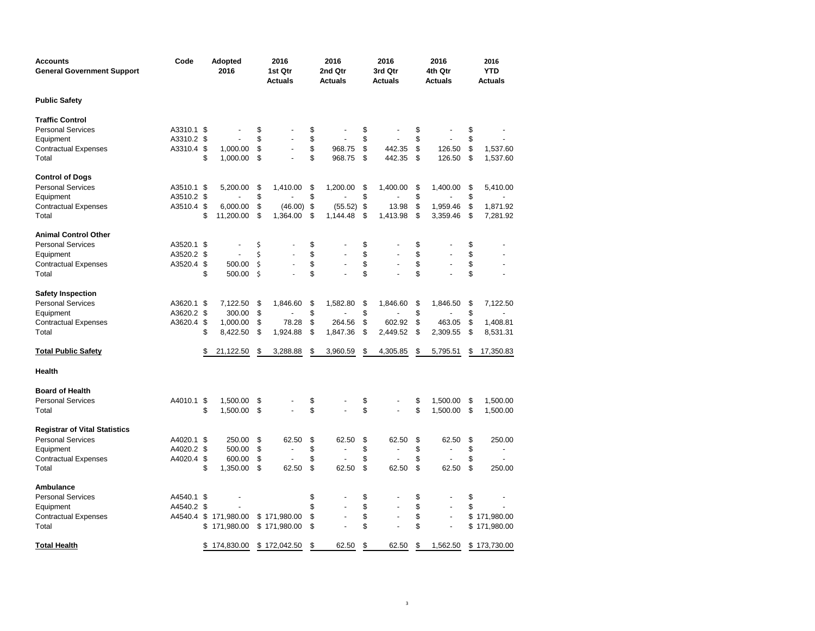| Accounts<br><b>General Government Support</b> | Code       | <b>Adopted</b><br>2016 |    | 2016<br>1st Qtr<br><b>Actuals</b> | 2016<br>2nd Qtr<br><b>Actuals</b> | 2016<br>3rd Qtr<br><b>Actuals</b>  | 2016<br>4th Qtr<br><b>Actuals</b> | 2016<br><b>YTD</b><br><b>Actuals</b> |
|-----------------------------------------------|------------|------------------------|----|-----------------------------------|-----------------------------------|------------------------------------|-----------------------------------|--------------------------------------|
| Public Safety                                 |            |                        |    |                                   |                                   |                                    |                                   |                                      |
| <b>Traffic Control</b>                        |            |                        |    |                                   |                                   |                                    |                                   |                                      |
| Personal Services                             | A3310.1 \$ |                        | \$ |                                   | \$                                | \$                                 | \$                                | \$                                   |
| Equipment                                     | A3310.2 \$ |                        | \$ |                                   | \$                                | \$                                 | \$                                | \$                                   |
| <b>Contractual Expenses</b>                   | A3310.4 \$ | 1,000.00               | \$ |                                   | \$<br>968.75                      | \$<br>442.35                       | \$<br>126.50                      | \$<br>1,537.60                       |
| Total                                         |            | \$<br>1,000.00         | \$ |                                   | \$<br>968.75                      | \$<br>442.35                       | \$<br>126.50                      | \$<br>1,537.60                       |
| <b>Control of Dogs</b>                        |            |                        |    |                                   |                                   |                                    |                                   |                                      |
| <b>Personal Services</b>                      | A3510.1 \$ | 5,200.00               | \$ | 1,410.00                          | \$<br>1,200.00                    | \$<br>1,400.00                     | \$<br>1,400.00                    | \$<br>5,410.00                       |
| Equipment                                     | A3510.2 \$ |                        | \$ |                                   | \$                                | \$                                 | \$                                | \$                                   |
| Contractual Expenses                          | A3510.4 \$ | 6,000.00               | \$ | (46.00)                           | \$<br>(55.52)                     | \$<br>13.98                        | \$<br>1,959.46                    | \$<br>1,871.92                       |
| Total                                         |            | \$<br>11,200.00        | \$ | 1,364.00                          | \$<br>1,144.48                    | \$<br>1,413.98                     | \$<br>3,359.46                    | \$<br>7,281.92                       |
| Animal Control Other                          |            |                        |    |                                   |                                   |                                    |                                   |                                      |
| <b>Personal Services</b>                      | A3520.1 \$ |                        | \$ |                                   | \$                                | \$                                 | \$                                | \$                                   |
| Equipment                                     | A3520.2 \$ |                        | Ś  |                                   | \$                                | \$                                 | \$                                | \$                                   |
| <b>Contractual Expenses</b>                   | A3520.4 \$ | 500.00                 | \$ |                                   | \$                                | \$<br>÷,                           | \$<br>÷,                          | \$<br>$\overline{\phantom{a}}$       |
| Total                                         |            | \$<br>500.00           | \$ |                                   | \$                                | \$                                 | \$                                | \$                                   |
| <b>Safety Inspection</b>                      |            |                        |    |                                   |                                   |                                    |                                   |                                      |
| <b>Personal Services</b>                      | A3620.1 \$ | 7,122.50               | \$ | 1,846.60                          | \$<br>1,582.80                    | \$<br>1,846.60                     | \$<br>1,846.50                    | \$<br>7,122.50                       |
| Equipment                                     | A3620.2 \$ | 300.00                 | \$ |                                   | \$                                | \$                                 | \$                                | \$                                   |
| Contractual Expenses                          | A3620.4 \$ | 1,000.00               | \$ | 78.28                             | \$<br>264.56                      | \$<br>602.92                       | \$<br>463.05                      | \$<br>1,408.81                       |
| Total                                         |            | \$<br>8,422.50         | \$ | 1,924.88                          | \$<br>1,847.36                    | \$<br>2,449.52                     | \$<br>2,309.55                    | \$<br>8,531.31                       |
| <b>Total Public Safety</b>                    |            | \$<br>21,122.50        | \$ | 3,288.88                          | \$<br>3,960.59                    | \$<br>4,305.85                     | \$<br>5,795.51                    | \$<br>17,350.83                      |
| Health                                        |            |                        |    |                                   |                                   |                                    |                                   |                                      |
| <b>Board of Health</b>                        |            |                        |    |                                   |                                   |                                    |                                   |                                      |
| <b>Personal Services</b>                      | A4010.1 \$ | 1,500.00               | \$ |                                   | \$                                | \$                                 | \$<br>1,500.00                    | \$<br>1,500.00                       |
| Total                                         |            | \$<br>1,500.00         | \$ |                                   | \$                                | \$<br>$\overline{a}$               | \$<br>1,500.00                    | \$<br>1,500.00                       |
| <b>Registrar of Vital Statistics</b>          |            |                        |    |                                   |                                   |                                    |                                   |                                      |
| <b>Personal Services</b>                      | A4020.1 \$ | 250.00                 | \$ | 62.50                             | \$<br>62.50                       | \$<br>62.50                        | \$<br>62.50                       | \$<br>250.00                         |
| Equipment                                     | A4020.2 \$ | 500.00                 | \$ |                                   | \$                                | \$                                 | \$                                | \$                                   |
| <b>Contractual Expenses</b>                   | A4020.4 \$ | 600.00                 | \$ |                                   | \$                                | \$                                 | \$                                | \$                                   |
| Total                                         |            | \$<br>1,350.00         | \$ | 62.50                             | \$<br>62.50                       | \$<br>62.50                        | \$<br>62.50                       | \$<br>250.00                         |
| Ambulance                                     |            |                        |    |                                   |                                   |                                    |                                   |                                      |
| <b>Personal Services</b>                      | A4540.1 \$ |                        |    |                                   | \$                                | \$                                 | \$                                | \$                                   |
| Equipment                                     | A4540.2 \$ |                        |    |                                   | \$                                | \$<br>$\overline{\phantom{a}}$     | \$<br>$\overline{\phantom{a}}$    | \$                                   |
| <b>Contractual Expenses</b>                   | A4540.4    | \$<br>171,980.00       |    | \$171,980.00                      | \$                                | \$<br>$\qquad \qquad \blacksquare$ | \$<br>$\overline{\phantom{a}}$    | \$171,980.00                         |
| Total                                         |            | \$171,980.00           |    | \$171,980.00                      | \$                                | \$                                 | \$                                | \$171,980.00                         |
| Total Health                                  |            | \$<br>174,830.00       |    | \$172,042.50                      | \$<br>62.50                       | \$<br>62.50                        | \$<br>1,562.50                    | \$173,730.00                         |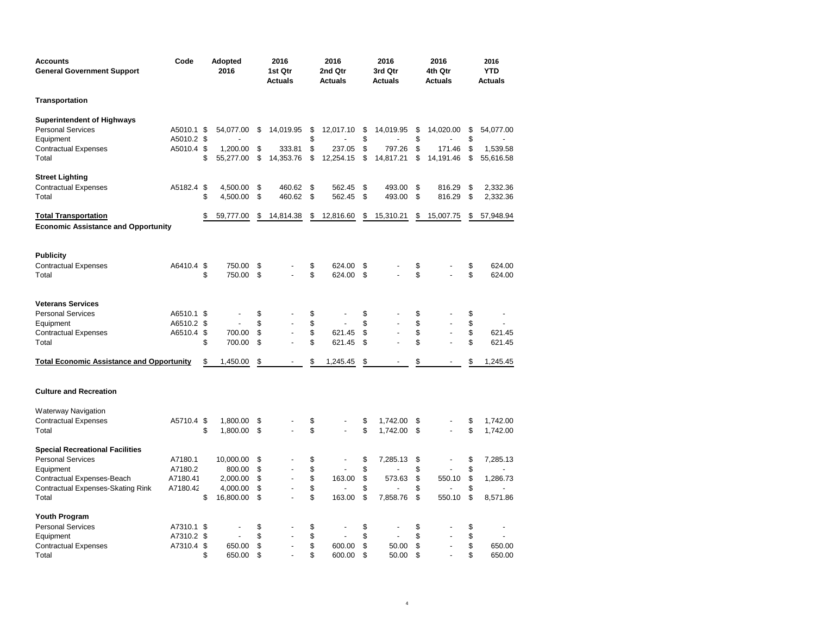| Accounts<br><b>General Government Support</b>                                                      | Code                                   | Adopted<br>2016                |                      | 2016<br>1st Qtr<br>Actuals |                      | 2016<br>2nd Qtr<br>Actuals |                      | 2016<br>3rd Qtr<br><b>Actuals</b> |                      | 2016<br>4th Qtr<br><b>Actuals</b> |                      | 2016<br><b>YTD</b><br><b>Actuals</b> |
|----------------------------------------------------------------------------------------------------|----------------------------------------|--------------------------------|----------------------|----------------------------|----------------------|----------------------------|----------------------|-----------------------------------|----------------------|-----------------------------------|----------------------|--------------------------------------|
| Transportation                                                                                     |                                        |                                |                      |                            |                      |                            |                      |                                   |                      |                                   |                      |                                      |
| Superintendent of Highways<br><b>Personal Services</b><br>Equipment<br>Contractual Expenses        | A5010.1 \$<br>A5010.2 \$<br>A5010.4 \$ | 54,077.00<br>1.200.00          | \$<br>\$             | 14,019.95<br>333.81        | \$<br>\$<br>\$       | 12,017.10<br>237.05        | \$<br>\$<br>\$       | 14,019.95<br>797.26               | \$<br>\$<br>\$       | 14,020.00<br>171.46               | \$<br>\$<br>\$       | 54,077.00<br>1,539.58                |
| Total                                                                                              |                                        | \$<br>55,277.00                | \$                   | 14,353.76                  | \$                   | 12,254.15                  | \$                   | 14,817.21                         | \$                   | 14,191.46                         | \$                   | 55,616.58                            |
| <b>Street Lighting</b><br><b>Contractual Expenses</b><br>Total                                     | A5182.4 \$                             | \$<br>4,500.00<br>4,500.00     | \$<br>\$             | 460.62<br>460.62           | \$<br>\$             | 562.45<br>562.45           | \$<br>\$             | 493.00<br>493.00                  | \$<br>\$             | 816.29<br>816.29                  | \$<br>\$             | 2,332.36<br>2,332.36                 |
| <b>Total Transportation</b><br><b>Economic Assistance and Opportunity</b>                          |                                        | \$<br>59,777.00                | \$                   | 14,814.38                  | \$                   | 12,816.60                  | \$                   | 15,310.21                         | \$                   | 15,007.75                         | \$                   | 57,948.94                            |
| <b>Publicity</b><br><b>Contractual Expenses</b><br>Total                                           | A6410.4 \$                             | \$<br>750.00<br>750.00         | \$<br>\$             | $\overline{a}$             | \$<br>\$             | 624.00<br>624.00           | \$<br>\$             |                                   | \$<br>\$             |                                   | \$<br>\$             | 624.00<br>624.00                     |
| <b>Veterans Services</b><br><b>Personal Services</b><br>Equipment<br>Contractual Expenses<br>Total | A6510.1 \$<br>A6510.2 \$<br>A6510.4 \$ | \$<br>700.00<br>700.00         | \$<br>\$<br>\$<br>\$ |                            | \$<br>\$<br>\$<br>\$ | 621.45<br>621.45           | \$<br>\$<br>\$<br>\$ |                                   | \$<br>\$<br>\$<br>\$ | ÷,                                | \$<br>\$<br>\$<br>\$ | 621.45<br>621.45                     |
| <b>Total Economic Assistance and Opportunity</b>                                                   |                                        | \$<br>1,450.00                 | \$                   |                            | \$                   | 1,245.45                   | \$                   |                                   | \$                   |                                   | \$                   | 1,245.45                             |
| <b>Culture and Recreation</b>                                                                      |                                        |                                |                      |                            |                      |                            |                      |                                   |                      |                                   |                      |                                      |
| Waterway Navigation<br><b>Contractual Expenses</b><br>Total                                        | A5710.4 \$                             | \$<br>1,800.00<br>1,800.00     | \$<br>\$             |                            | \$<br>\$             |                            | \$<br>\$             | 1,742.00<br>1,742.00              | \$<br>\$             |                                   | \$<br>\$             | 1,742.00<br>1,742.00                 |
| <b>Special Recreational Facilities</b><br><b>Personal Services</b>                                 | A7180.1                                | 10,000.00                      | \$                   |                            | \$                   |                            | \$                   | 7,285.13                          | \$                   |                                   | \$                   | 7,285.13                             |
| Equipment<br>Contractual Expenses-Beach<br>Contractual Expenses-Skating Rink                       | A7180.2<br>A7180.41<br>A7180.42        | 800.00<br>2,000.00<br>4,000.00 | \$<br>\$<br>\$       | $\overline{a}$             | \$<br>\$<br>\$<br>\$ | 163.00                     | \$<br>\$<br>\$       | 573.63                            | \$<br>\$<br>\$       | 550.10                            | \$<br>\$<br>\$<br>\$ | 1,286.73                             |
| Total                                                                                              |                                        | \$<br>16,800.00                | \$                   |                            |                      | 163.00                     | \$                   | 7,858.76                          | \$                   | 550.10                            |                      | 8,571.86                             |
| Youth Program<br><b>Personal Services</b><br>Equipment<br>Contractual Expenses<br>Total            | A7310.1 \$<br>A7310.2 \$<br>A7310.4 \$ | \$<br>650.00<br>650.00         | \$<br>\$<br>\$<br>\$ | $\overline{a}$             | \$<br>\$<br>\$<br>\$ | 600.00<br>600.00           | \$<br>\$<br>\$<br>\$ | 50.00<br>50.00                    | \$<br>\$<br>\$<br>\$ | $\blacksquare$                    | \$<br>\$<br>\$<br>\$ | 650.00<br>650.00                     |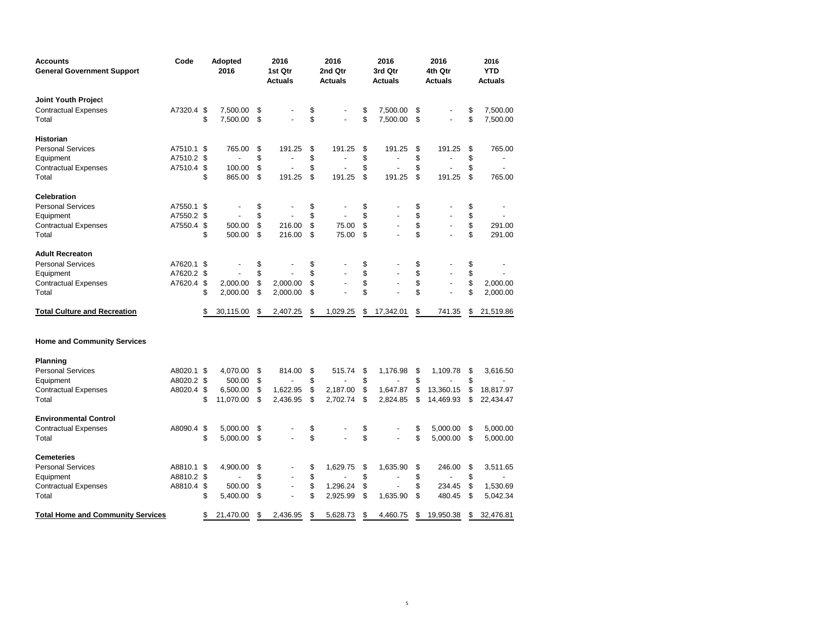| Accounts<br><b>General Government Support</b> | Code       | <b>Adopted</b><br>2016 |                | 2016<br>1st Qtr<br>Actuals |                |    | 2016<br>2nd Qtr<br>Actuals | 2016<br>3rd Qtr<br><b>Actuals</b> | 2016<br>4th Qtr<br><b>Actuals</b> |                          |    | 2016<br><b>YTD</b><br><b>Actuals</b> |  |
|-----------------------------------------------|------------|------------------------|----------------|----------------------------|----------------|----|----------------------------|-----------------------------------|-----------------------------------|--------------------------|----|--------------------------------------|--|
| <b>Joint Youth Project</b>                    |            |                        |                |                            |                |    |                            |                                   |                                   |                          |    |                                      |  |
| <b>Contractual Expenses</b>                   | A7320.4 \$ |                        | 7,500.00       | \$                         |                | \$ |                            | \$<br>7,500.00                    | \$                                |                          | \$ | 7,500.00                             |  |
| Total                                         |            | \$                     | 7,500.00       | \$                         |                | \$ |                            | \$<br>7,500.00                    | \$                                |                          | \$ | 7,500.00                             |  |
| <b>Historian</b>                              |            |                        |                |                            |                |    |                            |                                   |                                   |                          |    |                                      |  |
| <b>Personal Services</b>                      | A7510.1 \$ |                        | 765.00         | \$                         | 191.25         | \$ | 191.25                     | \$<br>191.25                      | \$                                | 191.25                   | \$ | 765.00                               |  |
| Equipment                                     | A7510.2 \$ |                        | $\overline{a}$ | \$                         | $\overline{a}$ | \$ | $\overline{a}$             | \$<br>$\overline{a}$              | \$                                | $\overline{a}$           | \$ | $\overline{a}$                       |  |
| <b>Contractual Expenses</b>                   | A7510.4 \$ |                        | 100.00         | \$                         | L,             | \$ |                            | \$                                | \$                                |                          | \$ |                                      |  |
| Total                                         |            | \$                     | 865.00         | \$                         | 191.25         | \$ | 191.25                     | \$<br>191.25                      | \$                                | 191.25                   | \$ | 765.00                               |  |
| <b>Celebration</b>                            |            |                        |                |                            |                |    |                            |                                   |                                   |                          |    |                                      |  |
| <b>Personal Services</b>                      | A7550.1 \$ |                        |                | \$                         |                | \$ |                            | \$                                | \$                                |                          | \$ |                                      |  |
| Equipment                                     | A7550.2 \$ |                        |                | \$                         |                | \$ |                            | \$                                | \$                                |                          | \$ |                                      |  |
| <b>Contractual Expenses</b>                   | A7550.4 \$ |                        | 500.00         | \$                         | 216.00         | \$ | 75.00                      | \$                                | \$                                | $\overline{\phantom{a}}$ | \$ | 291.00                               |  |
| Total                                         |            | \$                     | 500.00         | \$                         | 216.00         | \$ | 75.00                      | \$                                | \$                                |                          | \$ | 291.00                               |  |
| <b>Adult Recreaton</b>                        |            |                        |                |                            |                |    |                            |                                   |                                   |                          |    |                                      |  |
| <b>Personal Services</b>                      | A7620.1 \$ |                        |                | \$                         |                | \$ |                            | \$                                | \$                                |                          | \$ |                                      |  |
| Equipment                                     | A7620.2 \$ |                        |                | \$                         |                | \$ |                            | \$                                | \$                                | $\overline{a}$           | \$ |                                      |  |
| <b>Contractual Expenses</b>                   | A7620.4 \$ |                        | 2,000.00       | \$                         | 2.000.00       | \$ |                            | \$                                | \$                                | $\overline{\phantom{a}}$ | \$ | 2,000.00                             |  |
| Total                                         |            | \$                     | 2,000.00       | \$                         | 2,000.00       | \$ |                            | \$                                | \$                                |                          | \$ | 2,000.00                             |  |
| <b>Total Culture and Recreation</b>           |            | \$                     | 30,115.00      | \$                         | 2,407.25       | \$ | 1,029.25                   | \$<br>17,342.01                   | \$                                | 741.35                   | \$ | 21,519.86                            |  |
| <b>Home and Community Services</b>            |            |                        |                |                            |                |    |                            |                                   |                                   |                          |    |                                      |  |
| Planning                                      |            |                        |                |                            |                |    |                            |                                   |                                   |                          |    |                                      |  |
| <b>Personal Services</b>                      | A8020.1 \$ |                        | 4.070.00       | \$                         | 814.00         | \$ | 515.74                     | \$<br>1,176.98                    | \$                                | 1,109.78                 | \$ | 3,616.50                             |  |
| Equipment                                     | A8020.2 \$ |                        | 500.00         | \$                         |                | \$ |                            | \$                                | \$                                |                          | \$ |                                      |  |
| <b>Contractual Expenses</b>                   | A8020.4 \$ |                        | 6.500.00       | \$                         | 1,622.95       | \$ | 2,187.00                   | \$<br>1,647.87                    | \$                                | 13,360.15                | \$ | 18,817.97                            |  |
| Total                                         |            | \$                     | 11,070.00      | \$                         | 2,436.95       | \$ | 2,702.74                   | \$<br>2,824.85                    | \$                                | 14,469.93                | \$ | 22,434.47                            |  |
| <b>Environmental Control</b>                  |            |                        |                |                            |                |    |                            |                                   |                                   |                          |    |                                      |  |
| <b>Contractual Expenses</b>                   | A8090.4 \$ |                        | 5,000.00       | \$                         |                | \$ |                            | \$                                | \$                                | 5,000.00                 | \$ | 5,000.00                             |  |
| Total                                         |            | \$                     | 5,000.00       | \$                         | $\overline{a}$ | \$ |                            | \$                                | \$                                | 5,000.00                 | \$ | 5,000.00                             |  |
| <b>Cemeteries</b>                             |            |                        |                |                            |                |    |                            |                                   |                                   |                          |    |                                      |  |
| <b>Personal Services</b>                      | A8810.1 \$ |                        | 4,900.00       | \$                         |                | \$ | 1,629.75                   | \$<br>1,635.90                    | \$                                | 246.00                   | \$ | 3,511.65                             |  |
| Equipment                                     | A8810.2 \$ |                        | $\overline{a}$ | \$                         |                | \$ |                            | \$<br>$\overline{a}$              | \$                                |                          | \$ |                                      |  |
| Contractual Expenses                          | A8810.4 \$ |                        | 500.00         | \$                         | $\overline{a}$ | \$ | 1,296.24                   | \$                                | \$                                | 234.45                   | \$ | 1,530.69                             |  |
| Total                                         |            | \$                     | 5,400.00       | \$                         |                | \$ | 2,925.99                   | \$<br>1,635.90                    | \$                                | 480.45                   | \$ | 5,042.34                             |  |
| <b>Total Home and Community Services</b>      |            | \$                     | 21,470.00      | \$                         | 2,436.95       | \$ | 5,628.73                   | \$<br>4,460.75                    | \$                                | 19,950.38                | \$ | 32.476.81                            |  |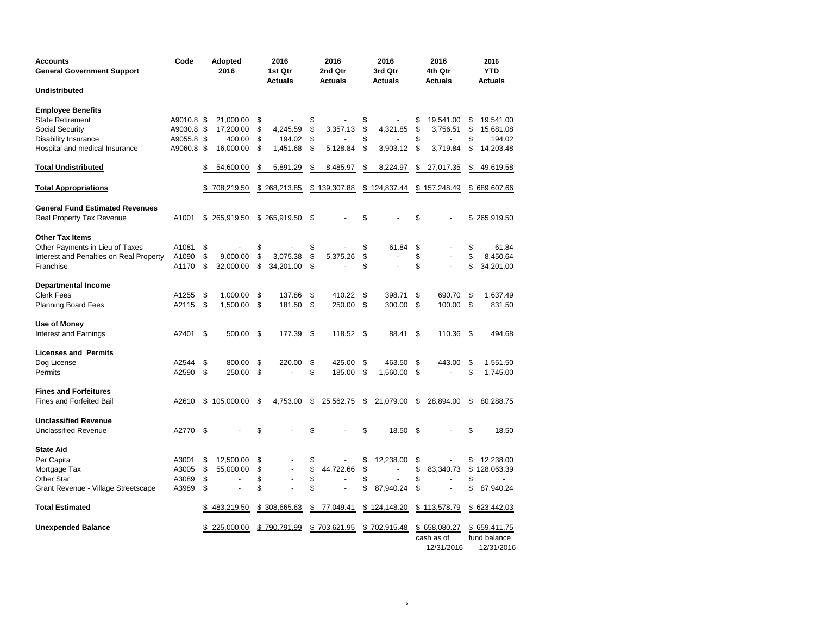| Accounts<br><b>General Government Support</b> | Code       | Adopted<br>2016      | 2016<br>1st Qtr<br><b>Actuals</b> |                |      | 2016<br>2nd Qtr<br><b>Actuals</b> |      | 2016<br>3rd Qtr<br><b>Actuals</b> | 2016<br>4th Qtr<br><b>Actuals</b> |    | 2016<br><b>YTD</b><br><b>Actuals</b> |
|-----------------------------------------------|------------|----------------------|-----------------------------------|----------------|------|-----------------------------------|------|-----------------------------------|-----------------------------------|----|--------------------------------------|
| Undistributed                                 |            |                      |                                   |                |      |                                   |      |                                   |                                   |    |                                      |
| <b>Employee Benefits</b>                      |            |                      |                                   |                |      |                                   |      |                                   |                                   |    |                                      |
| State Retirement                              | A9010.8 \$ | 21,000.00            | \$                                |                | \$   |                                   | \$   |                                   | \$<br>19,541.00                   | \$ | 19,541.00                            |
| Social Security                               | A9030.8 \$ | 17,200.00            | \$                                | 4,245.59       | \$   | 3,357.13                          | \$   | 4,321.85                          | \$<br>3,756.51                    | \$ | 15,681.08                            |
| <b>Disability Insurance</b>                   | A9055.8 \$ | 400.00               | \$                                | 194.02         | \$   |                                   | \$   |                                   | \$                                | \$ | 194.02                               |
| Hospital and medical Insurance                | A9060.8 \$ | 16,000.00            | \$                                | 1,451.68       | \$   | 5,128.84                          | \$   | 3,903.12                          | \$<br>3,719.84                    | \$ | 14,203.48                            |
| Total Undistributed                           |            | \$<br>54,600.00      | \$                                | 5,891.29       | \$   | 8,485.97                          | \$   | 8,224.97                          | \$<br>27,017.35                   | \$ | 49,619.58                            |
| <b>Total Appropriations</b>                   |            | \$<br>708,219.50     |                                   | \$268,213.85   | \$   | 139,307.88                        |      | \$124,837.44                      | \$157,248.49                      |    | \$689,607.66                         |
| <b>General Fund Estimated Revenues</b>        |            |                      |                                   |                |      |                                   |      |                                   |                                   |    |                                      |
| Real Property Tax Revenue                     | A1001      | \$265,919.50         |                                   | \$265,919.50   | - \$ |                                   | \$   |                                   | \$                                |    | \$265,919.50                         |
| Other Tax Items                               |            |                      |                                   |                |      |                                   |      |                                   |                                   |    |                                      |
| Other Payments in Lieu of Taxes               | A1081      | \$                   | \$                                |                | \$   |                                   | \$   | 61.84                             | \$                                | \$ | 61.84                                |
| Interest and Penalties on Real Property       | A1090      | \$<br>9,000.00       | \$                                | 3,075.38       | \$   | 5,375.26                          | \$   |                                   | \$                                | \$ | 8,450.64                             |
| Franchise                                     | A1170      | \$<br>32,000.00      | \$                                | 34,201.00      | \$   |                                   | \$   |                                   | \$                                | \$ | 34,201.00                            |
| <b>Departmental Income</b>                    |            |                      |                                   |                |      |                                   |      |                                   |                                   |    |                                      |
| Clerk Fees                                    | A1255      | \$<br>1,000.00       | \$                                | 137.86         | \$   | 410.22                            | \$   | 398.71                            | \$<br>690.70                      | \$ | 1,637.49                             |
| <b>Planning Board Fees</b>                    | A2115      | \$<br>1,500.00       | \$                                | 181.50         | \$   | 250.00                            | - \$ | 300.00                            | \$<br>100.00                      | \$ | 831.50                               |
| Use of Money                                  |            |                      |                                   |                |      |                                   |      |                                   |                                   |    |                                      |
| <b>Interest and Earnings</b>                  | A2401      | \$<br>500.00 \$      |                                   | 177.39         | - \$ | 118.52 \$                         |      | 88.41                             | \$<br>110.36                      | \$ | 494.68                               |
| <b>Licenses and Permits</b>                   |            |                      |                                   |                |      |                                   |      |                                   |                                   |    |                                      |
| Dog License                                   | A2544      | \$<br>800.00         | \$                                | 220.00         | \$   | 425.00                            | \$   | 463.50                            | \$<br>443.00                      | \$ | 1,551.50                             |
| Permits                                       | A2590      | \$<br>250.00         | \$                                |                | \$   | 185.00                            | \$   | 1,560.00                          | \$                                | \$ | 1,745.00                             |
| <b>Fines and Forfeitures</b>                  |            |                      |                                   |                |      |                                   |      |                                   |                                   |    |                                      |
| <b>Fines and Forfeited Bail</b>               | A2610      | \$<br>105,000.00     | \$                                | 4,753.00       | \$   | 25,562.75                         | -\$  | 21,079.00                         | \$<br>28,894.00                   | \$ | 80,288.75                            |
| <b>Unclassified Revenue</b>                   |            |                      |                                   |                |      |                                   |      |                                   |                                   |    |                                      |
| <b>Unclassified Revenue</b>                   | A2770      | \$                   | \$                                |                | \$   |                                   | \$   | 18.50                             | \$                                | \$ | 18.50                                |
| <b>State Aid</b>                              |            |                      |                                   |                |      |                                   |      |                                   |                                   |    |                                      |
| Per Capita                                    | A3001      | \$<br>12,500.00      | \$                                |                | \$   |                                   | \$   | 12,238.00                         | \$                                | \$ | 12,238.00                            |
| Mortgage Tax                                  | A3005      | \$<br>55,000.00      | \$                                |                | \$   | 44,722.66                         | \$   |                                   | \$<br>83,340.73                   | \$ | 128,063.39                           |
| Other Star                                    | A3089      | \$                   | \$                                | $\overline{a}$ | \$   |                                   | \$   |                                   | \$                                | S  |                                      |
| Grant Revenue - Village Streetscape           | A3989      | \$<br>$\overline{a}$ | \$                                |                | \$   |                                   | \$   | 87,940.24                         | \$                                | \$ | 87,940.24                            |
| <b>Total Estimated</b>                        |            | \$<br>483,219.50     |                                   | \$308,665.63   | \$   | 77,049.41                         |      | \$124,148.20                      | \$113,578.79                      |    | \$623,442.03                         |
| <b>Unexpended Balance</b>                     |            | \$<br>225,000.00     |                                   | \$790,791.99   |      | \$703,621.95                      |      | \$702,915.48                      | \$658,080.27                      |    | \$659,411.75                         |
|                                               |            |                      |                                   |                |      |                                   |      |                                   | cash as of                        |    | fund balance                         |
|                                               |            |                      |                                   |                |      |                                   |      |                                   | 12/31/2016                        |    | 12/31/2016                           |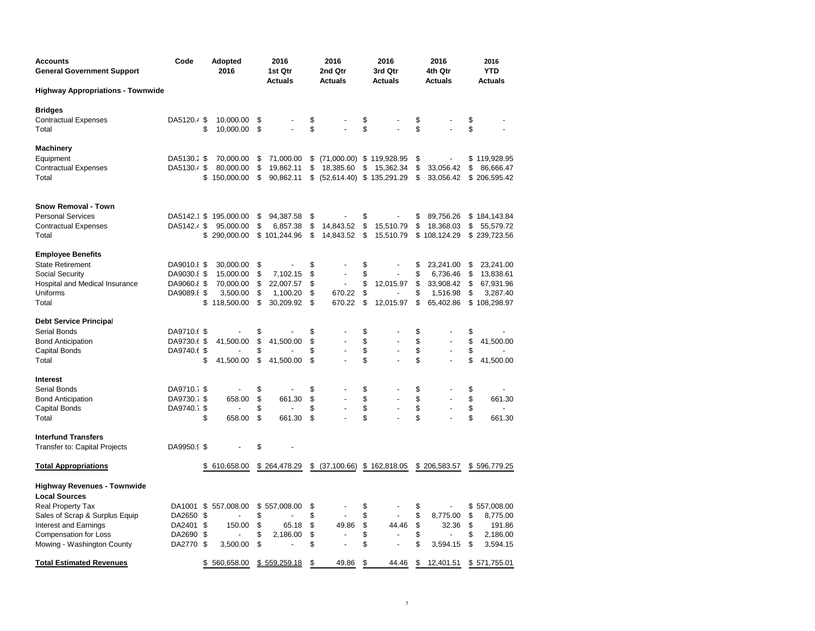| <b>Accounts</b><br><b>General Government Support</b> | Code                       | <b>Adopted</b><br>2016 |          | 2016<br>1st Qtr<br><b>Actuals</b> |          | 2016<br>2nd Qtr<br><b>Actuals</b> |          | 2016<br>3rd Qtr<br>Actuals |          | 2016<br>4th Qtr<br><b>Actuals</b> |         | 2016<br><b>YTD</b><br>Actuals |
|------------------------------------------------------|----------------------------|------------------------|----------|-----------------------------------|----------|-----------------------------------|----------|----------------------------|----------|-----------------------------------|---------|-------------------------------|
| <b>Highway Appropriations - Townwide</b>             |                            |                        |          |                                   |          |                                   |          |                            |          |                                   |         |                               |
| Bridges                                              |                            |                        |          |                                   |          |                                   |          |                            |          |                                   |         |                               |
| <b>Contractual Expenses</b>                          | DA5120.4 \$                | 10,000.00              | \$       |                                   | \$       |                                   | \$       |                            | \$       |                                   | \$      |                               |
| Total                                                | \$                         | 10,000.00              | \$       |                                   | \$       |                                   | \$       |                            | \$       |                                   | \$      |                               |
| Machinery                                            |                            |                        |          |                                   |          |                                   |          |                            |          |                                   |         |                               |
| Equipment                                            | DA5130.2 \$                | 70,000.00              | \$       | 71,000.00                         |          | $$$ (71,000.00) $$$ 119,928.95    |          |                            | \$       |                                   | \$      | 119,928.95                    |
| <b>Contractual Expenses</b>                          | DA5130.4 \$                | 80,000.00              | \$       | 19,862.11                         | \$       | 18,385.60                         | \$       | 15,362.34                  | \$       | 33,056.42                         | \$      | 86,666.47                     |
| Total                                                | \$                         | 150,000.00             | \$       | 90,862.11                         |          | $$$ (52,614.40) $$$ 135,291.29    |          |                            | \$       | 33,056.42                         | \$      | 206,595.42                    |
| Snow Removal - Town                                  |                            |                        |          |                                   |          |                                   |          |                            |          |                                   |         |                               |
| <b>Personal Services</b>                             | DA5142.1 \$                | 195,000.00             | \$       | 94,387.58                         | \$       |                                   | \$       |                            | \$       | 89,756.26                         |         | \$184,143.84                  |
| <b>Contractual Expenses</b>                          | DA5142.4 \$                | 95,000.00              | \$       | 6,857.38                          | \$       | 14,843.52                         | \$       | 15,510.79                  | \$       | 18,368.03                         | \$      | 55,579.72                     |
| Total                                                |                            | \$ 290,000.00          |          | \$101,244.96                      | \$       | 14,843.52                         | \$       | 15,510.79                  |          | \$108,124.29                      |         | \$239,723.56                  |
| <b>Employee Benefits</b>                             |                            |                        |          |                                   |          |                                   |          |                            |          |                                   |         |                               |
| <b>State Retirement</b>                              | DA9010.8 \$                | 30,000.00              | \$       |                                   | \$       |                                   | \$       |                            | \$       | 23,241.00                         | \$      | 23,241.00                     |
| <b>Social Security</b>                               | DA9030.8 \$                | 15,000.00              | \$       | 7,102.15                          | \$       |                                   | \$       |                            | \$       | 6,736.46                          | \$      | 13,838.61                     |
| Hospital and Medical Insurance                       | DA9060.8 \$                | 70,000.00              | \$       | 22,007.57                         | \$       |                                   | \$       | 12,015.97                  | \$       | 33,908.42                         | S       | 67,931.96                     |
| Uniforms                                             | DA9089.8 \$                | 3,500.00               | \$       | 1,100.20                          | \$       | 670.22                            | \$       |                            | \$       | 1,516.98                          | \$      | 3,287.40                      |
| Total                                                | \$                         | 118,500.00             | \$       | 30,209.92                         | \$       | 670.22                            | \$       | 12,015.97                  | \$       | 65,402.86                         |         | \$108,298.97                  |
| Debt Service Principal                               |                            |                        |          |                                   |          |                                   |          |                            |          |                                   |         |                               |
| <b>Serial Bonds</b>                                  | DA9710.6 \$                |                        | \$       |                                   | \$       |                                   | \$       |                            | \$       |                                   | \$      |                               |
| <b>Bond Anticipation</b>                             | DA9730.6 \$                | 41,500.00              | \$       | 41,500.00                         | \$       |                                   | \$       |                            | \$       |                                   | \$      | 41,500.00                     |
| Capital Bonds                                        | DA9740.6 \$                |                        | \$       |                                   | \$       |                                   | \$       |                            | \$       |                                   | \$      |                               |
| Total                                                | \$                         | 41,500.00              | \$       | 41,500.00                         | \$       |                                   | \$       |                            | \$       | ٠                                 | \$      | 41,500.00                     |
| Interest                                             |                            |                        |          |                                   |          |                                   |          |                            |          |                                   |         |                               |
| Serial Bonds                                         | DA9710.7 \$                |                        | \$       |                                   | \$       |                                   | \$       |                            | \$       |                                   | \$      |                               |
| <b>Bond Anticipation</b>                             | DA9730.7 \$                | 658.00                 | \$       | 661.30                            | \$       |                                   | \$       |                            | \$       |                                   | \$      | 661.30                        |
| Capital Bonds                                        | DA9740.7 \$                |                        | \$       |                                   | \$       |                                   | \$       |                            | \$       |                                   | \$      |                               |
| Total                                                | \$                         | 658.00                 | \$       | 661.30                            | \$       |                                   | \$       |                            | \$       |                                   | \$      | 661.30                        |
| <b>Interfund Transfers</b>                           |                            |                        |          |                                   |          |                                   |          |                            |          |                                   |         |                               |
| <b>Transfer to: Capital Projects</b>                 | DA9950.9 \$                |                        | \$       |                                   |          |                                   |          |                            |          |                                   |         |                               |
| <b>Total Appropriations</b>                          |                            | \$ 610,658.00          |          | \$264,478.29                      |          | $$$ (37,100.66) $$$ 162,818.05    |          |                            |          | \$206,583.57                      |         | \$596,779.25                  |
| Highway Revenues - Townwide                          |                            |                        |          |                                   |          |                                   |          |                            |          |                                   |         |                               |
| <b>Local Sources</b>                                 |                            |                        |          |                                   |          |                                   |          |                            |          |                                   |         |                               |
| Real Property Tax                                    | DA1001<br>\$               | 557,008.00             | \$       | 557,008.00                        | \$       |                                   | \$       |                            | \$       |                                   | \$      | 557,008.00                    |
| Sales of Scrap & Surplus Equip                       | DA2650<br>\$               |                        | \$       |                                   | \$       |                                   | \$       | ÷,                         | \$       | 8,775.00                          | \$      | 8,775.00                      |
| <b>Interest and Earnings</b>                         | DA2401<br>- \$             | 150.00                 | \$       | 65.18                             | \$       | 49.86                             | \$       | 44.46                      | \$       | 32.36                             | \$      | 191.86                        |
| Compensation for Loss<br>Mowing - Washington County  | DA2690<br>-\$<br>DA2770 \$ | 3,500.00               | \$<br>\$ | 2.186.00                          | \$<br>\$ |                                   | \$<br>\$ |                            | \$<br>\$ | 3,594.15                          | S<br>\$ | 2,186.00<br>3,594.15          |
|                                                      |                            |                        |          |                                   |          |                                   |          |                            |          |                                   |         |                               |
| <b>Total Estimated Revenues</b>                      | \$                         | 560,658.00             |          | \$559,259.18                      | \$       | 49.86                             | \$       | 44.46                      | \$       | 12,401.51                         |         | \$571,755.01                  |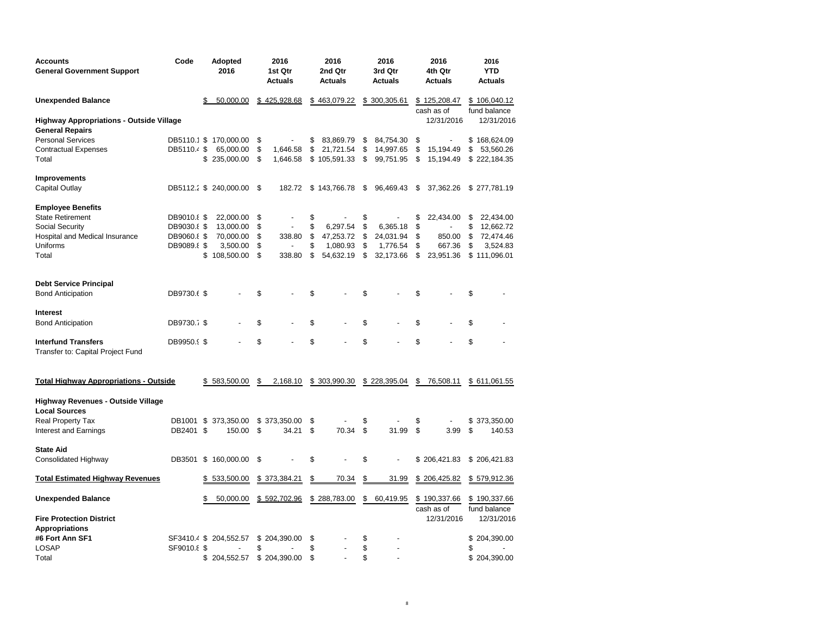| <b>Accounts</b><br><b>General Government Support</b>              | Code               | Adopted<br>2016            |          | 2016<br>1st Qtr<br><b>Actuals</b> | 2016<br>2nd Qtr<br><b>Actuals</b> |          | 2016<br>3rd Qtr<br><b>Actuals</b> |          | 2016<br>4th Qtr<br><b>Actuals</b> | 2016<br><b>YTD</b><br><b>Actuals</b> |
|-------------------------------------------------------------------|--------------------|----------------------------|----------|-----------------------------------|-----------------------------------|----------|-----------------------------------|----------|-----------------------------------|--------------------------------------|
| <b>Unexpended Balance</b>                                         |                    | 50,000.00                  |          | \$425,928.68                      | \$463,079.22                      |          | \$300,305.61                      |          | \$125,208.47<br>cash as of        | \$106,040.12<br>fund balance         |
| <b>Highway Appropriations - Outside Village</b>                   |                    |                            |          |                                   |                                   |          |                                   |          | 12/31/2016                        | 12/31/2016                           |
| <b>General Repairs</b>                                            |                    |                            |          |                                   |                                   |          |                                   |          |                                   |                                      |
| <b>Personal Services</b>                                          |                    | DB5110.1 \$ 170,000.00     | \$       |                                   | \$<br>83,869.79                   | \$       | 84,754.30                         | \$       | ÷                                 | \$168,624.09                         |
| <b>Contractual Expenses</b><br>Total                              | DB5110.4 \$        | 65,000.00<br>\$ 235,000.00 | \$<br>\$ | 1,646.58<br>1,646.58              | \$<br>21,721.54<br>\$105,591.33   | \$<br>\$ | 14,997.65<br>99,751.95            | \$<br>\$ | 15,194.49<br>15,194.49            | \$<br>53,560.26<br>\$222,184.35      |
| <b>Improvements</b>                                               |                    |                            |          |                                   |                                   |          |                                   |          |                                   |                                      |
| Capital Outlay                                                    |                    | DB5112.2 \$ 240,000.00     | - \$     | 182.72                            | \$143,766.78                      | -\$      | 96,469.43                         | \$       | 37,362.26                         | \$277,781.19                         |
| <b>Employee Benefits</b>                                          |                    |                            |          |                                   |                                   |          |                                   |          |                                   |                                      |
| <b>State Retirement</b>                                           | DB9010.8 \$        | 22,000.00                  | \$       | $\overline{\phantom{a}}$          | \$                                | \$       |                                   | \$       | 22,434.00                         | \$<br>22,434.00                      |
| Social Security                                                   | <b>DB9030.8 \$</b> | 13,000.00                  | \$       | $\overline{\phantom{a}}$          | \$<br>6,297.54                    | \$       | 6,365.18                          | \$       |                                   | \$<br>12,662.72                      |
| Hospital and Medical Insurance                                    | DB9060.8 \$        | 70,000.00                  | \$       | 338.80                            | \$<br>47,253.72                   | \$       | 24,031.94                         | \$       | 850.00                            | \$<br>72,474.46                      |
| Uniforms                                                          | DB9089.8 \$        | 3,500.00                   | \$       |                                   | \$<br>1,080.93                    | \$       | 1,776.54                          | \$       | 667.36                            | \$<br>3,524.83                       |
| Total                                                             |                    | \$108,500.00               | \$       | 338.80                            | \$<br>54,632.19                   | \$       | 32,173.66                         | \$       | 23,951.36                         | \$111,096.01                         |
| <b>Debt Service Principal</b>                                     |                    |                            |          |                                   |                                   |          |                                   |          |                                   |                                      |
| <b>Bond Anticipation</b>                                          | DB9730.6 \$        |                            | \$       |                                   | \$                                | \$       |                                   | \$       |                                   | \$                                   |
| <b>Interest</b>                                                   |                    |                            |          |                                   |                                   |          |                                   |          |                                   |                                      |
| <b>Bond Anticipation</b>                                          | DB9730.7 \$        |                            | \$       |                                   | \$                                | \$       |                                   | \$       |                                   | \$                                   |
| <b>Interfund Transfers</b><br>Transfer to: Capital Project Fund   | DB9950.9 \$        |                            | \$       |                                   | \$                                | \$       |                                   | \$       |                                   | \$                                   |
| <b>Total Highway Appropriations - Outside</b>                     |                    | \$583,500.00               | \$       | 2,168.10                          | \$303,990.30                      |          | \$228,395.04                      | \$       | 76,508.11                         | \$611,061.55                         |
| <b>Highway Revenues - Outside Village</b><br><b>Local Sources</b> |                    |                            |          |                                   |                                   |          |                                   |          |                                   |                                      |
| Real Property Tax                                                 | DB1001 \$          | 373,350.00                 |          | \$373,350.00                      | \$                                | \$       |                                   | \$       |                                   | \$<br>373,350.00                     |
| Interest and Earnings                                             | DB2401 \$          | 150.00                     | \$       | 34.21                             | \$<br>70.34                       | \$       | 31.99                             | \$       | 3.99                              | \$<br>140.53                         |
| <b>State Aid</b>                                                  |                    |                            |          |                                   |                                   |          |                                   |          |                                   |                                      |
| <b>Consolidated Highway</b>                                       |                    | DB3501 \$ 160,000.00       | \$       |                                   | \$                                | \$       |                                   |          | \$206,421.83                      | \$206,421.83                         |
| <b>Total Estimated Highway Revenues</b>                           |                    | \$533,500.00               |          | \$373,384.21                      | \$<br>70.34                       | \$       | 31.99                             |          | \$206,425.82                      | \$579,912.36                         |
| <b>Unexpended Balance</b>                                         |                    | 50,000.00<br>\$            |          | \$592,702.96                      | \$288,783.00                      | \$       | 60,419.95                         |          | \$190,337.66<br>cash as of        | \$190,337.66<br>fund balance         |
| <b>Fire Protection District</b>                                   |                    |                            |          |                                   |                                   |          |                                   |          | 12/31/2016                        | 12/31/2016                           |
| <b>Appropriations</b>                                             |                    |                            |          |                                   |                                   |          |                                   |          |                                   |                                      |
| #6 Fort Ann SF1                                                   |                    | SF3410.4 \$ 204,552.57     |          | \$204,390.00                      | \$                                | \$       |                                   |          |                                   | \$204,390.00                         |
| <b>LOSAP</b>                                                      | SF9010.8 \$        |                            | \$       |                                   | \$                                | \$       |                                   |          |                                   | \$                                   |
| Total                                                             |                    | \$204,552.57               |          | \$204,390.00                      | \$                                | \$       |                                   |          |                                   | \$204,390.00                         |